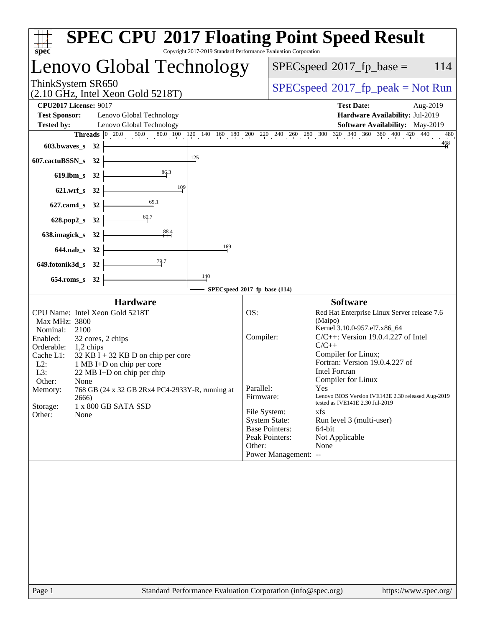| Copyright 2017-2019 Standard Performance Evaluation Corporation<br>spec                                                                                                                                                                                                                                                                                                                                | <b>SPEC CPU®2017 Floating Point Speed Result</b>                                                                                                                                                                                                                                                                                                                                                                                                                                                                                                                                                   |
|--------------------------------------------------------------------------------------------------------------------------------------------------------------------------------------------------------------------------------------------------------------------------------------------------------------------------------------------------------------------------------------------------------|----------------------------------------------------------------------------------------------------------------------------------------------------------------------------------------------------------------------------------------------------------------------------------------------------------------------------------------------------------------------------------------------------------------------------------------------------------------------------------------------------------------------------------------------------------------------------------------------------|
| Lenovo Global Technology                                                                                                                                                                                                                                                                                                                                                                               | $SPEC speed^{\circ}2017$ _fp_base =<br>114                                                                                                                                                                                                                                                                                                                                                                                                                                                                                                                                                         |
| ThinkSystem SR650<br>$(2.10 \text{ GHz}, \text{Intel Xeon Gold } 5218 \text{T})$                                                                                                                                                                                                                                                                                                                       | $SPEC speed^{\circ}2017\_fp\_peak = Not Run$                                                                                                                                                                                                                                                                                                                                                                                                                                                                                                                                                       |
| <b>CPU2017 License: 9017</b><br><b>Test Sponsor:</b><br>Lenovo Global Technology<br><b>Tested by:</b><br>Lenovo Global Technology                                                                                                                                                                                                                                                                      | <b>Test Date:</b><br>Aug-2019<br>Hardware Availability: Jul-2019<br>Software Availability: May-2019<br><b>Threads</b> $\begin{bmatrix} 0 & 20.0 & 50.0 & 80.0 & 100 & 120 & 140 & 160 & 180 & 200 & 220 & 240 & 260 & 280 & 300 & 320 & 340 & 360 & 380 & 400 & 420 & 440 \end{bmatrix}$<br>480<br>$\frac{468}{5}$                                                                                                                                                                                                                                                                                 |
| 603.bwaves_s $32$ $-$<br>$\frac{125}{1}$<br>607.cactuBSSN_s 32                                                                                                                                                                                                                                                                                                                                         |                                                                                                                                                                                                                                                                                                                                                                                                                                                                                                                                                                                                    |
| 619.1bm_s 32 $\frac{86.3}{ }$                                                                                                                                                                                                                                                                                                                                                                          |                                                                                                                                                                                                                                                                                                                                                                                                                                                                                                                                                                                                    |
| 621.wrf_s 32 $\frac{109}{109}$                                                                                                                                                                                                                                                                                                                                                                         |                                                                                                                                                                                                                                                                                                                                                                                                                                                                                                                                                                                                    |
| 627.cam4_s 32 $\overline{\qquad \qquad }$ 69.1                                                                                                                                                                                                                                                                                                                                                         |                                                                                                                                                                                                                                                                                                                                                                                                                                                                                                                                                                                                    |
| 628.pop2_s 32 $\frac{60.7}{ }$                                                                                                                                                                                                                                                                                                                                                                         |                                                                                                                                                                                                                                                                                                                                                                                                                                                                                                                                                                                                    |
| 638.imagick_s 32 $\frac{88.4}{11}$                                                                                                                                                                                                                                                                                                                                                                     |                                                                                                                                                                                                                                                                                                                                                                                                                                                                                                                                                                                                    |
| 169<br>$644.nab_s$ 32                                                                                                                                                                                                                                                                                                                                                                                  |                                                                                                                                                                                                                                                                                                                                                                                                                                                                                                                                                                                                    |
| 649.fotonik3d_s 32 $\frac{79.7}{1}$                                                                                                                                                                                                                                                                                                                                                                    |                                                                                                                                                                                                                                                                                                                                                                                                                                                                                                                                                                                                    |
| 140<br>$654$ .roms_s 32                                                                                                                                                                                                                                                                                                                                                                                | SPECspeed <sup>®</sup> 2017_fp_base (114)                                                                                                                                                                                                                                                                                                                                                                                                                                                                                                                                                          |
| <b>Hardware</b>                                                                                                                                                                                                                                                                                                                                                                                        | <b>Software</b>                                                                                                                                                                                                                                                                                                                                                                                                                                                                                                                                                                                    |
| CPU Name: Intel Xeon Gold 5218T<br>Max MHz: 3800<br>Nominal: 2100<br>Enabled:<br>32 cores, 2 chips<br>Orderable: 1,2 chips<br>Cache L1:<br>$32$ KB I + 32 KB D on chip per core<br>L2:<br>1 MB I+D on chip per core<br>L3:<br>22 MB I+D on chip per chip<br>Other:<br>None<br>768 GB (24 x 32 GB 2Rx4 PC4-2933Y-R, running at<br>Memory:<br>2666)<br>Storage:<br>1 x 800 GB SATA SSD<br>None<br>Other: | OS:<br>Red Hat Enterprise Linux Server release 7.6<br>(Maipo)<br>Kernel 3.10.0-957.el7.x86_64<br>$C/C++$ : Version 19.0.4.227 of Intel<br>Compiler:<br>$C/C++$<br>Compiler for Linux;<br>Fortran: Version 19.0.4.227 of<br><b>Intel Fortran</b><br>Compiler for Linux<br>Parallel:<br><b>Yes</b><br>Lenovo BIOS Version IVE142E 2.30 released Aug-2019<br>Firmware:<br>tested as IVE141E 2.30 Jul-2019<br>File System:<br>xfs<br><b>System State:</b><br>Run level 3 (multi-user)<br><b>Base Pointers:</b><br>64-bit<br>Peak Pointers:<br>Not Applicable<br>Other:<br>None<br>Power Management: -- |
|                                                                                                                                                                                                                                                                                                                                                                                                        |                                                                                                                                                                                                                                                                                                                                                                                                                                                                                                                                                                                                    |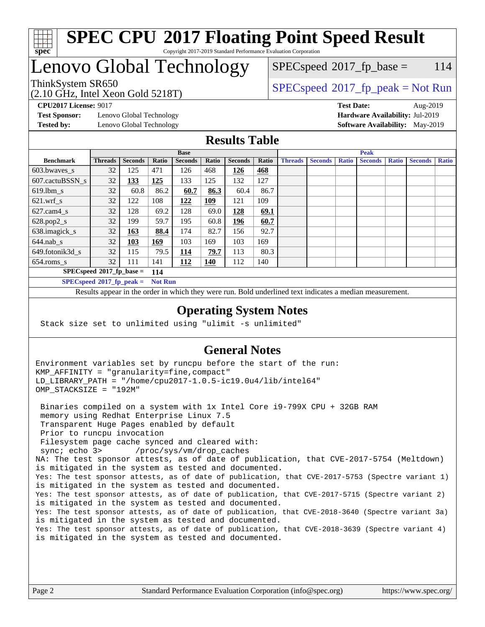

# **[SPEC CPU](http://www.spec.org/auto/cpu2017/Docs/result-fields.html#SPECCPU2017FloatingPointSpeedResult)[2017 Floating Point Speed Result](http://www.spec.org/auto/cpu2017/Docs/result-fields.html#SPECCPU2017FloatingPointSpeedResult)**

Copyright 2017-2019 Standard Performance Evaluation Corporation

## Lenovo Global Technology

#### $SPEC speed^{\circ}2017$  fp base = 114

(2.10 GHz, Intel Xeon Gold 5218T)

ThinkSystem SR650<br>  $SPEC speed^{\circ}2017$  [p\_peak = Not Run

**[Test Sponsor:](http://www.spec.org/auto/cpu2017/Docs/result-fields.html#TestSponsor)** Lenovo Global Technology **[Hardware Availability:](http://www.spec.org/auto/cpu2017/Docs/result-fields.html#HardwareAvailability)** Jul-2019 **[Tested by:](http://www.spec.org/auto/cpu2017/Docs/result-fields.html#Testedby)** Lenovo Global Technology **[Software Availability:](http://www.spec.org/auto/cpu2017/Docs/result-fields.html#SoftwareAvailability)** May-2019

**[CPU2017 License:](http://www.spec.org/auto/cpu2017/Docs/result-fields.html#CPU2017License)** 9017 **[Test Date:](http://www.spec.org/auto/cpu2017/Docs/result-fields.html#TestDate)** Aug-2019

#### **[Results Table](http://www.spec.org/auto/cpu2017/Docs/result-fields.html#ResultsTable)**

|                                    | <b>Base</b>    |                |                |                |            | <b>Peak</b>    |       |                |                |              |                |              |                |              |
|------------------------------------|----------------|----------------|----------------|----------------|------------|----------------|-------|----------------|----------------|--------------|----------------|--------------|----------------|--------------|
| <b>Benchmark</b>                   | <b>Threads</b> | <b>Seconds</b> | Ratio          | <b>Seconds</b> | Ratio      | <b>Seconds</b> | Ratio | <b>Threads</b> | <b>Seconds</b> | <b>Ratio</b> | <b>Seconds</b> | <b>Ratio</b> | <b>Seconds</b> | <b>Ratio</b> |
| 603.bwayes_s                       | 32             | 125            | 471            | 126            | 468        | 126            | 468   |                |                |              |                |              |                |              |
| 607.cactuBSSN s                    | 32             | 133            | 125            | 133            | 125        | 132            | 127   |                |                |              |                |              |                |              |
| $619.1$ bm s                       | 32             | 60.8           | 86.2           | 60.7           | 86.3       | 60.4           | 86.7  |                |                |              |                |              |                |              |
| $621.wrf$ s                        | 32             | 122            | 108            | 122            | 109        | 121            | 109   |                |                |              |                |              |                |              |
| $627.cam4_s$                       | 32             | 128            | 69.2           | 128            | 69.0       | 128            | 69.1  |                |                |              |                |              |                |              |
| $628.pop2_s$                       | 32             | 199            | 59.7           | 195            | 60.8       | 196            | 60.7  |                |                |              |                |              |                |              |
| 638.imagick_s                      | 32             | 163            | 88.4           | 174            | 82.7       | 156            | 92.7  |                |                |              |                |              |                |              |
| $644$ .nab s                       | 32             | <u>103</u>     | <u>169</u>     | 103            | 169        | 103            | 169   |                |                |              |                |              |                |              |
| 649.fotonik3d s                    | 32             | 115            | 79.5           | <u> 114</u>    | 79.7       | 113            | 80.3  |                |                |              |                |              |                |              |
| $654$ .roms s                      | 32             | 111            | 141            | 112            | <b>140</b> | 112            | 140   |                |                |              |                |              |                |              |
| $SPECspeed*2017_fp\_base =$<br>114 |                |                |                |                |            |                |       |                |                |              |                |              |                |              |
| $SPECspeed*2017_fp\_peak =$        |                |                | <b>Not Run</b> |                |            |                |       |                |                |              |                |              |                |              |

Results appear in the [order in which they were run.](http://www.spec.org/auto/cpu2017/Docs/result-fields.html#RunOrder) Bold underlined text [indicates a median measurement](http://www.spec.org/auto/cpu2017/Docs/result-fields.html#Median).

#### **[Operating System Notes](http://www.spec.org/auto/cpu2017/Docs/result-fields.html#OperatingSystemNotes)**

Stack size set to unlimited using "ulimit -s unlimited"

#### **[General Notes](http://www.spec.org/auto/cpu2017/Docs/result-fields.html#GeneralNotes)**

Environment variables set by runcpu before the start of the run: KMP\_AFFINITY = "granularity=fine,compact" LD\_LIBRARY\_PATH = "/home/cpu2017-1.0.5-ic19.0u4/lib/intel64" OMP\_STACKSIZE = "192M"

 Binaries compiled on a system with 1x Intel Core i9-799X CPU + 32GB RAM memory using Redhat Enterprise Linux 7.5 Transparent Huge Pages enabled by default Prior to runcpu invocation Filesystem page cache synced and cleared with: sync; echo 3> /proc/sys/vm/drop\_caches NA: The test sponsor attests, as of date of publication, that CVE-2017-5754 (Meltdown) is mitigated in the system as tested and documented. Yes: The test sponsor attests, as of date of publication, that CVE-2017-5753 (Spectre variant 1) is mitigated in the system as tested and documented. Yes: The test sponsor attests, as of date of publication, that CVE-2017-5715 (Spectre variant 2) is mitigated in the system as tested and documented. Yes: The test sponsor attests, as of date of publication, that CVE-2018-3640 (Spectre variant 3a) is mitigated in the system as tested and documented. Yes: The test sponsor attests, as of date of publication, that CVE-2018-3639 (Spectre variant 4) is mitigated in the system as tested and documented.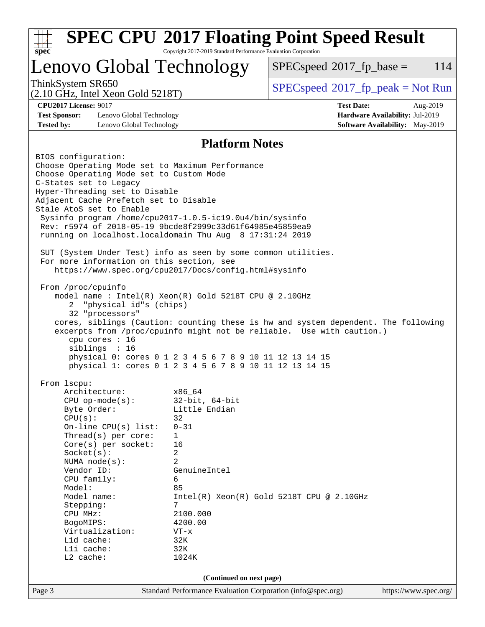| spec <sup>®</sup>                                                                                                                                                                                                                                                                                                                                                                                                                                                                                                                                                                                                                                                                                                                                                                                                                                                                                                                                                                                                                                         | Copyright 2017-2019 Standard Performance Evaluation Corporation                                                                                                                            | <b>SPEC CPU®2017 Floating Point Speed Result</b> |                                                                    |          |  |
|-----------------------------------------------------------------------------------------------------------------------------------------------------------------------------------------------------------------------------------------------------------------------------------------------------------------------------------------------------------------------------------------------------------------------------------------------------------------------------------------------------------------------------------------------------------------------------------------------------------------------------------------------------------------------------------------------------------------------------------------------------------------------------------------------------------------------------------------------------------------------------------------------------------------------------------------------------------------------------------------------------------------------------------------------------------|--------------------------------------------------------------------------------------------------------------------------------------------------------------------------------------------|--------------------------------------------------|--------------------------------------------------------------------|----------|--|
| Lenovo Global Technology                                                                                                                                                                                                                                                                                                                                                                                                                                                                                                                                                                                                                                                                                                                                                                                                                                                                                                                                                                                                                                  |                                                                                                                                                                                            | $SPEC speed^{\circ}2017$ fp base =               |                                                                    | 114      |  |
| ThinkSystem SR650<br>$(2.10 \text{ GHz}, \text{Intel Xeon Gold } 5218 \text{T})$                                                                                                                                                                                                                                                                                                                                                                                                                                                                                                                                                                                                                                                                                                                                                                                                                                                                                                                                                                          |                                                                                                                                                                                            | $SPEC speed^{\circ}2017\_fp\_peak = Not Run$     |                                                                    |          |  |
| <b>CPU2017 License: 9017</b><br><b>Test Sponsor:</b><br>Lenovo Global Technology<br><b>Tested by:</b><br>Lenovo Global Technology                                                                                                                                                                                                                                                                                                                                                                                                                                                                                                                                                                                                                                                                                                                                                                                                                                                                                                                         |                                                                                                                                                                                            | <b>Test Date:</b>                                | Hardware Availability: Jul-2019<br>Software Availability: May-2019 | Aug-2019 |  |
|                                                                                                                                                                                                                                                                                                                                                                                                                                                                                                                                                                                                                                                                                                                                                                                                                                                                                                                                                                                                                                                           | <b>Platform Notes</b>                                                                                                                                                                      |                                                  |                                                                    |          |  |
| Choose Operating Mode set to Maximum Performance<br>Choose Operating Mode set to Custom Mode<br>C-States set to Legacy<br>Hyper-Threading set to Disable<br>Adjacent Cache Prefetch set to Disable<br>Stale AtoS set to Enable<br>Sysinfo program /home/cpu2017-1.0.5-ic19.0u4/bin/sysinfo<br>Rev: r5974 of 2018-05-19 9bcde8f2999c33d61f64985e45859ea9<br>running on localhost.localdomain Thu Aug 8 17:31:24 2019<br>SUT (System Under Test) info as seen by some common utilities.<br>For more information on this section, see<br>https://www.spec.org/cpu2017/Docs/config.html#sysinfo<br>From /proc/cpuinfo<br>model name: $Intel(R)$ Xeon $(R)$ Gold 5218T CPU @ 2.10GHz<br>"physical id"s (chips)<br>2<br>32 "processors"<br>cores, siblings (Caution: counting these is hw and system dependent. The following<br>excerpts from /proc/cpuinfo might not be reliable. Use with caution.)<br>cpu cores : 16<br>siblings : 16<br>physical 0: cores 0 1 2 3 4 5 6 7 8 9 10 11 12 13 14 15<br>physical 1: cores 0 1 2 3 4 5 6 7 8 9 10 11 12 13 14 15 |                                                                                                                                                                                            |                                                  |                                                                    |          |  |
| From lscpu:<br>Architecture:<br>$CPU$ op-mode( $s$ ):<br>Byte Order:<br>CPU(s):<br>On-line $CPU(s)$ list:<br>Thread(s) per core:<br>Core(s) per socket:<br>Socket(s):<br>NUMA $node(s)$ :<br>Vendor ID:<br>CPU family:<br>Model:<br>Model name:<br>Stepping:<br>CPU MHz:<br>BogoMIPS:<br>Virtualization:<br>$L1d$ cache:<br>Lli cache:<br>L2 cache:                                                                                                                                                                                                                                                                                                                                                                                                                                                                                                                                                                                                                                                                                                       | x86 64<br>$32$ -bit, $64$ -bit<br>Little Endian<br>32<br>$0 - 31$<br>$\mathbf 1$<br>16<br>2<br>2<br>GenuineIntel<br>6<br>85<br>7<br>2100.000<br>4200.00<br>$VT - x$<br>32K<br>32K<br>1024K | $Intel(R) Xeon(R) Gold 5218T CPU @ 2.10GHz$      |                                                                    |          |  |
| (Continued on next page)                                                                                                                                                                                                                                                                                                                                                                                                                                                                                                                                                                                                                                                                                                                                                                                                                                                                                                                                                                                                                                  |                                                                                                                                                                                            |                                                  |                                                                    |          |  |
| Page 3                                                                                                                                                                                                                                                                                                                                                                                                                                                                                                                                                                                                                                                                                                                                                                                                                                                                                                                                                                                                                                                    | Standard Performance Evaluation Corporation (info@spec.org)                                                                                                                                |                                                  | https://www.spec.org/                                              |          |  |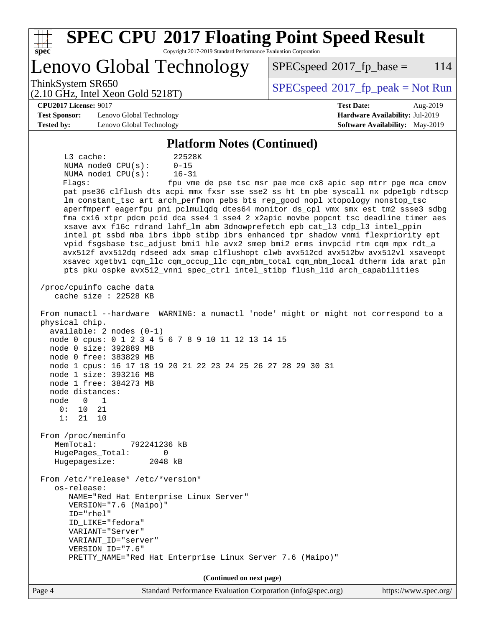| <b>SPEC CPU®2017 Floating Point Speed Result</b>                                                                                                                    |                                                               |  |  |  |  |  |  |
|---------------------------------------------------------------------------------------------------------------------------------------------------------------------|---------------------------------------------------------------|--|--|--|--|--|--|
| Spec<br>Copyright 2017-2019 Standard Performance Evaluation Corporation                                                                                             |                                                               |  |  |  |  |  |  |
| Lenovo Global Technology                                                                                                                                            | $SPEC speed^{\circ}2017$ _fp_base =<br>114                    |  |  |  |  |  |  |
| ThinkSystem SR650<br>$(2.10 \text{ GHz}, \text{Intel Xeon Gold } 5218 \text{T})$                                                                                    | $SPEC speed^{\circ}2017\_fp\_peak = Not Run$                  |  |  |  |  |  |  |
| <b>CPU2017 License: 9017</b>                                                                                                                                        | <b>Test Date:</b><br>Aug-2019                                 |  |  |  |  |  |  |
| <b>Test Sponsor:</b><br>Lenovo Global Technology                                                                                                                    | Hardware Availability: Jul-2019                               |  |  |  |  |  |  |
| <b>Software Availability:</b> May-2019<br><b>Tested by:</b><br>Lenovo Global Technology                                                                             |                                                               |  |  |  |  |  |  |
| <b>Platform Notes (Continued)</b>                                                                                                                                   |                                                               |  |  |  |  |  |  |
| L3 cache:<br>22528K                                                                                                                                                 |                                                               |  |  |  |  |  |  |
| NUMA node0 CPU(s):<br>$0 - 15$<br>NUMA nodel CPU(s):<br>$16 - 31$                                                                                                   |                                                               |  |  |  |  |  |  |
| Flags:                                                                                                                                                              | fpu vme de pse tsc msr pae mce cx8 apic sep mtrr pge mca cmov |  |  |  |  |  |  |
| pat pse36 clflush dts acpi mmx fxsr sse sse2 ss ht tm pbe syscall nx pdpelgb rdtscp                                                                                 |                                                               |  |  |  |  |  |  |
| lm constant_tsc art arch_perfmon pebs bts rep_good nopl xtopology nonstop_tsc<br>aperfmperf eagerfpu pni pclmulqdq dtes64 monitor ds_cpl vmx smx est tm2 ssse3 sdbg |                                                               |  |  |  |  |  |  |
| fma cx16 xtpr pdcm pcid dca sse4_1 sse4_2 x2apic movbe popcnt tsc_deadline_timer aes                                                                                |                                                               |  |  |  |  |  |  |
| xsave avx f16c rdrand lahf_lm abm 3dnowprefetch epb cat_13 cdp_13 intel_ppin                                                                                        |                                                               |  |  |  |  |  |  |
| intel_pt ssbd mba ibrs ibpb stibp ibrs_enhanced tpr_shadow vnmi flexpriority ept<br>vpid fsgsbase tsc_adjust bmil hle avx2 smep bmi2 erms invpcid rtm cqm mpx rdt_a |                                                               |  |  |  |  |  |  |
| avx512f avx512dq rdseed adx smap clflushopt clwb avx512cd avx512bw avx512vl xsaveopt                                                                                |                                                               |  |  |  |  |  |  |
| xsavec xgetbv1 cqm_llc cqm_occup_llc cqm_mbm_total cqm_mbm_local dtherm ida arat pln                                                                                |                                                               |  |  |  |  |  |  |
| pts pku ospke avx512_vnni spec_ctrl intel_stibp flush_lld arch_capabilities                                                                                         |                                                               |  |  |  |  |  |  |
| /proc/cpuinfo cache data<br>cache size : $22528$ KB                                                                                                                 |                                                               |  |  |  |  |  |  |
| From numactl --hardware WARNING: a numactl 'node' might or might not correspond to a<br>physical chip.<br>$available: 2 nodes (0-1)$                                |                                                               |  |  |  |  |  |  |
| node 0 cpus: 0 1 2 3 4 5 6 7 8 9 10 11 12 13 14 15                                                                                                                  |                                                               |  |  |  |  |  |  |
| node 0 size: 392889 MB                                                                                                                                              |                                                               |  |  |  |  |  |  |
| node 0 free: 383829 MB<br>node 1 cpus: 16 17 18 19 20 21 22 23 24 25 26 27 28 29 30 31                                                                              |                                                               |  |  |  |  |  |  |
| node 1 size: 393216 MB                                                                                                                                              |                                                               |  |  |  |  |  |  |
| node 1 free: 384273 MB                                                                                                                                              |                                                               |  |  |  |  |  |  |
| node distances:<br>node<br>0<br>1                                                                                                                                   |                                                               |  |  |  |  |  |  |
| 0:<br>10<br>21                                                                                                                                                      |                                                               |  |  |  |  |  |  |
| 1:21<br>10                                                                                                                                                          |                                                               |  |  |  |  |  |  |
| From /proc/meminfo                                                                                                                                                  |                                                               |  |  |  |  |  |  |
| MemTotal:<br>792241236 kB                                                                                                                                           |                                                               |  |  |  |  |  |  |
| HugePages_Total:<br>0<br>Hugepagesize:<br>2048 kB                                                                                                                   |                                                               |  |  |  |  |  |  |
|                                                                                                                                                                     |                                                               |  |  |  |  |  |  |
| From /etc/*release* /etc/*version*<br>os-release:                                                                                                                   |                                                               |  |  |  |  |  |  |
| NAME="Red Hat Enterprise Linux Server"                                                                                                                              |                                                               |  |  |  |  |  |  |
| VERSION="7.6 (Maipo)"                                                                                                                                               |                                                               |  |  |  |  |  |  |
| ID="rhel"<br>ID LIKE="fedora"                                                                                                                                       |                                                               |  |  |  |  |  |  |
| VARIANT="Server"                                                                                                                                                    |                                                               |  |  |  |  |  |  |
| VARIANT_ID="server"                                                                                                                                                 |                                                               |  |  |  |  |  |  |
| VERSION_ID="7.6"<br>PRETTY_NAME="Red Hat Enterprise Linux Server 7.6 (Maipo)"                                                                                       |                                                               |  |  |  |  |  |  |
|                                                                                                                                                                     |                                                               |  |  |  |  |  |  |
| (Continued on next page)                                                                                                                                            |                                                               |  |  |  |  |  |  |
| Page 4<br>Standard Performance Evaluation Corporation (info@spec.org)                                                                                               | https://www.spec.org/                                         |  |  |  |  |  |  |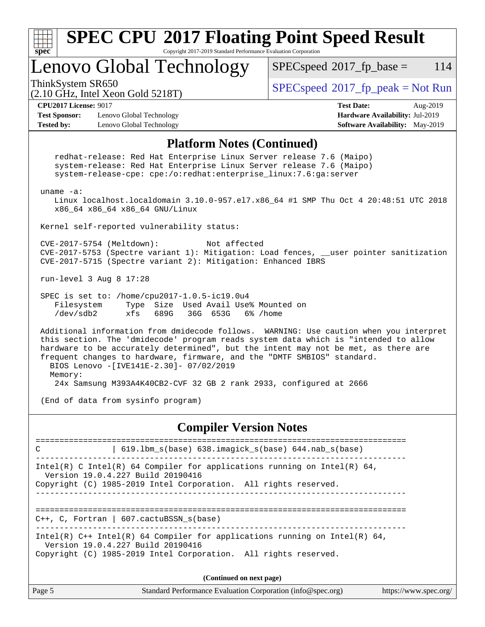| <b>SPEC CPU®2017 Floating Point Speed Result</b><br>Copyright 2017-2019 Standard Performance Evaluation Corporation<br>$spec^*$                                                                                                                                                                                                                                                                      |                                                                                                     |  |  |  |  |
|------------------------------------------------------------------------------------------------------------------------------------------------------------------------------------------------------------------------------------------------------------------------------------------------------------------------------------------------------------------------------------------------------|-----------------------------------------------------------------------------------------------------|--|--|--|--|
| Lenovo Global Technology                                                                                                                                                                                                                                                                                                                                                                             | $SPEC speed^{\circ}2017$ _fp_base =<br>114                                                          |  |  |  |  |
| ThinkSystem SR650<br>$(2.10 \text{ GHz}, \text{Intel Xeon Gold } 5218 \text{T})$                                                                                                                                                                                                                                                                                                                     | $SPEC speed^{\circ}2017\_fp\_peak = Not Run$                                                        |  |  |  |  |
| <b>CPU2017 License: 9017</b><br><b>Test Sponsor:</b><br>Lenovo Global Technology<br><b>Tested by:</b><br>Lenovo Global Technology                                                                                                                                                                                                                                                                    | <b>Test Date:</b><br>Aug-2019<br>Hardware Availability: Jul-2019<br>Software Availability: May-2019 |  |  |  |  |
| <b>Platform Notes (Continued)</b>                                                                                                                                                                                                                                                                                                                                                                    |                                                                                                     |  |  |  |  |
| redhat-release: Red Hat Enterprise Linux Server release 7.6 (Maipo)<br>system-release: Red Hat Enterprise Linux Server release 7.6 (Maipo)<br>system-release-cpe: cpe:/o:redhat:enterprise_linux:7.6:ga:server                                                                                                                                                                                       |                                                                                                     |  |  |  |  |
| uname $-a$ :<br>Linux localhost.localdomain 3.10.0-957.el7.x86_64 #1 SMP Thu Oct 4 20:48:51 UTC 2018<br>x86_64 x86_64 x86_64 GNU/Linux                                                                                                                                                                                                                                                               |                                                                                                     |  |  |  |  |
| Kernel self-reported vulnerability status:                                                                                                                                                                                                                                                                                                                                                           |                                                                                                     |  |  |  |  |
| CVE-2017-5754 (Meltdown):<br>Not affected<br>CVE-2017-5753 (Spectre variant 1): Mitigation: Load fences, __user pointer sanitization<br>CVE-2017-5715 (Spectre variant 2): Mitigation: Enhanced IBRS                                                                                                                                                                                                 |                                                                                                     |  |  |  |  |
| run-level 3 Aug 8 17:28                                                                                                                                                                                                                                                                                                                                                                              |                                                                                                     |  |  |  |  |
| SPEC is set to: /home/cpu2017-1.0.5-ic19.0u4<br>Type Size Used Avail Use% Mounted on<br>Filesystem<br>/dev/sdb2<br>xfs<br>689G<br>36G 653G<br>6% /home                                                                                                                                                                                                                                               |                                                                                                     |  |  |  |  |
| Additional information from dmidecode follows. WARNING: Use caution when you interpret<br>this section. The 'dmidecode' program reads system data which is "intended to allow<br>hardware to be accurately determined", but the intent may not be met, as there are<br>frequent changes to hardware, firmware, and the "DMTF SMBIOS" standard.<br>BIOS Lenovo -[IVE141E-2.30]- 07/02/2019<br>Memory: |                                                                                                     |  |  |  |  |
| 24x Samsung M393A4K40CB2-CVF 32 GB 2 rank 2933, configured at 2666                                                                                                                                                                                                                                                                                                                                   |                                                                                                     |  |  |  |  |
| (End of data from sysinfo program)                                                                                                                                                                                                                                                                                                                                                                   |                                                                                                     |  |  |  |  |
| <b>Compiler Version Notes</b>                                                                                                                                                                                                                                                                                                                                                                        |                                                                                                     |  |  |  |  |
| 619.1bm_s(base) 638.imagick_s(base) 644.nab_s(base)<br>C                                                                                                                                                                                                                                                                                                                                             |                                                                                                     |  |  |  |  |
| Intel(R) C Intel(R) 64 Compiler for applications running on Intel(R) 64,<br>Version 19.0.4.227 Build 20190416                                                                                                                                                                                                                                                                                        |                                                                                                     |  |  |  |  |
| Copyright (C) 1985-2019 Intel Corporation. All rights reserved.                                                                                                                                                                                                                                                                                                                                      |                                                                                                     |  |  |  |  |
| $C++$ , C, Fortran   607.cactuBSSN_s(base)                                                                                                                                                                                                                                                                                                                                                           |                                                                                                     |  |  |  |  |
| Intel(R) $C++$ Intel(R) 64 Compiler for applications running on Intel(R) 64,<br>Version 19.0.4.227 Build 20190416<br>Copyright (C) 1985-2019 Intel Corporation. All rights reserved.                                                                                                                                                                                                                 |                                                                                                     |  |  |  |  |
| (Continued on next page)                                                                                                                                                                                                                                                                                                                                                                             |                                                                                                     |  |  |  |  |
| Page 5<br>Standard Performance Evaluation Corporation (info@spec.org)                                                                                                                                                                                                                                                                                                                                | https://www.spec.org/                                                                               |  |  |  |  |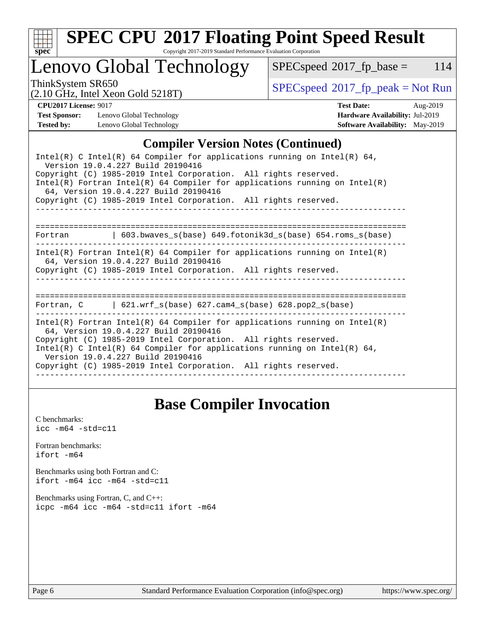

# **[SPEC CPU](http://www.spec.org/auto/cpu2017/Docs/result-fields.html#SPECCPU2017FloatingPointSpeedResult)[2017 Floating Point Speed Result](http://www.spec.org/auto/cpu2017/Docs/result-fields.html#SPECCPU2017FloatingPointSpeedResult)**

Copyright 2017-2019 Standard Performance Evaluation Corporation

## Lenovo Global Technology

 $SPECspeed^{\circ}2017_fp\_base = 114$  $SPECspeed^{\circ}2017_fp\_base = 114$ 

(2.10 GHz, Intel Xeon Gold 5218T)

ThinkSystem SR650<br>  $(2.10 \text{ GHz. Intel Yoon Gold 5218T})$   $SPEC speed^{\circ}2017\_fp\_peak = Not Run$ 

**[Test Sponsor:](http://www.spec.org/auto/cpu2017/Docs/result-fields.html#TestSponsor)** Lenovo Global Technology **[Hardware Availability:](http://www.spec.org/auto/cpu2017/Docs/result-fields.html#HardwareAvailability)** Jul-2019 **[Tested by:](http://www.spec.org/auto/cpu2017/Docs/result-fields.html#Testedby)** Lenovo Global Technology **[Software Availability:](http://www.spec.org/auto/cpu2017/Docs/result-fields.html#SoftwareAvailability)** May-2019

**[CPU2017 License:](http://www.spec.org/auto/cpu2017/Docs/result-fields.html#CPU2017License)** 9017 **[Test Date:](http://www.spec.org/auto/cpu2017/Docs/result-fields.html#TestDate)** Aug-2019

#### **[Compiler Version Notes \(Continued\)](http://www.spec.org/auto/cpu2017/Docs/result-fields.html#CompilerVersionNotes)**

| Intel(R) C Intel(R) 64 Compiler for applications running on Intel(R) 64,<br>Version 19.0.4.227 Build 20190416<br>Copyright (C) 1985-2019 Intel Corporation. All rights reserved.<br>$Intel(R)$ Fortran Intel(R) 64 Compiler for applications running on Intel(R)<br>64, Version 19.0.4.227 Build 20190416<br>Copyright (C) 1985-2019 Intel Corporation. All rights reserved. |  |
|------------------------------------------------------------------------------------------------------------------------------------------------------------------------------------------------------------------------------------------------------------------------------------------------------------------------------------------------------------------------------|--|
| Fortran $\qquad \qquad$ 603.bwaves s(base) 649.fotonik3d s(base) 654.roms s(base)                                                                                                                                                                                                                                                                                            |  |
| Intel(R) Fortran Intel(R) 64 Compiler for applications running on Intel(R)<br>64, Version 19.0.4.227 Build 20190416<br>Copyright (C) 1985-2019 Intel Corporation. All rights reserved.                                                                                                                                                                                       |  |
| Fortran, $C = \{621. \text{wrf s}(\text{base}) \}$ 627. cam4 s(base) 628. pop2 s(base)                                                                                                                                                                                                                                                                                       |  |
| Intel(R) Fortran Intel(R) 64 Compiler for applications running on Intel(R)<br>64, Version 19.0.4.227 Build 20190416<br>Copyright (C) 1985-2019 Intel Corporation. All rights reserved.<br>Intel(R) C Intel(R) 64 Compiler for applications running on Intel(R) 64,<br>Version 19.0.4.227 Build 20190416<br>Copyright (C) 1985-2019 Intel Corporation. All rights reserved.   |  |

### **[Base Compiler Invocation](http://www.spec.org/auto/cpu2017/Docs/result-fields.html#BaseCompilerInvocation)**

[C benchmarks](http://www.spec.org/auto/cpu2017/Docs/result-fields.html#Cbenchmarks):  $\text{icc}$  -m64 -std=c11 [Fortran benchmarks](http://www.spec.org/auto/cpu2017/Docs/result-fields.html#Fortranbenchmarks): [ifort -m64](http://www.spec.org/cpu2017/results/res2019q3/cpu2017-20190902-17398.flags.html#user_FCbase_intel_ifort_64bit_24f2bb282fbaeffd6157abe4f878425411749daecae9a33200eee2bee2fe76f3b89351d69a8130dd5949958ce389cf37ff59a95e7a40d588e8d3a57e0c3fd751) [Benchmarks using both Fortran and C](http://www.spec.org/auto/cpu2017/Docs/result-fields.html#BenchmarksusingbothFortranandC): [ifort -m64](http://www.spec.org/cpu2017/results/res2019q3/cpu2017-20190902-17398.flags.html#user_CC_FCbase_intel_ifort_64bit_24f2bb282fbaeffd6157abe4f878425411749daecae9a33200eee2bee2fe76f3b89351d69a8130dd5949958ce389cf37ff59a95e7a40d588e8d3a57e0c3fd751) [icc -m64 -std=c11](http://www.spec.org/cpu2017/results/res2019q3/cpu2017-20190902-17398.flags.html#user_CC_FCbase_intel_icc_64bit_c11_33ee0cdaae7deeeab2a9725423ba97205ce30f63b9926c2519791662299b76a0318f32ddfffdc46587804de3178b4f9328c46fa7c2b0cd779d7a61945c91cd35) [Benchmarks using Fortran, C, and C++:](http://www.spec.org/auto/cpu2017/Docs/result-fields.html#BenchmarksusingFortranCandCXX) [icpc -m64](http://www.spec.org/cpu2017/results/res2019q3/cpu2017-20190902-17398.flags.html#user_CC_CXX_FCbase_intel_icpc_64bit_4ecb2543ae3f1412ef961e0650ca070fec7b7afdcd6ed48761b84423119d1bf6bdf5cad15b44d48e7256388bc77273b966e5eb805aefd121eb22e9299b2ec9d9) [icc -m64 -std=c11](http://www.spec.org/cpu2017/results/res2019q3/cpu2017-20190902-17398.flags.html#user_CC_CXX_FCbase_intel_icc_64bit_c11_33ee0cdaae7deeeab2a9725423ba97205ce30f63b9926c2519791662299b76a0318f32ddfffdc46587804de3178b4f9328c46fa7c2b0cd779d7a61945c91cd35) [ifort -m64](http://www.spec.org/cpu2017/results/res2019q3/cpu2017-20190902-17398.flags.html#user_CC_CXX_FCbase_intel_ifort_64bit_24f2bb282fbaeffd6157abe4f878425411749daecae9a33200eee2bee2fe76f3b89351d69a8130dd5949958ce389cf37ff59a95e7a40d588e8d3a57e0c3fd751)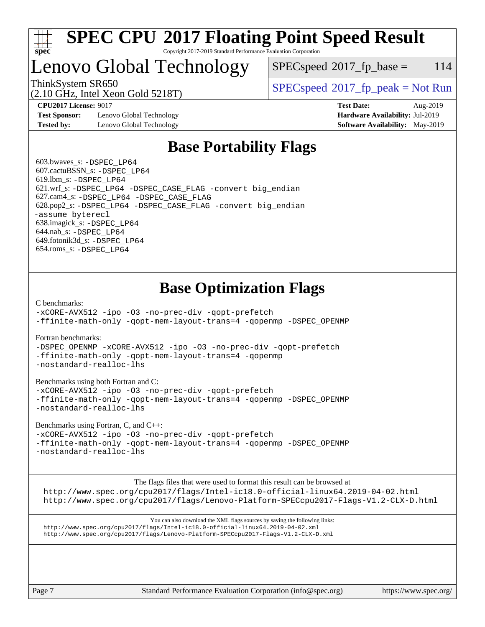

#### **[SPEC CPU](http://www.spec.org/auto/cpu2017/Docs/result-fields.html#SPECCPU2017FloatingPointSpeedResult)[2017 Floating Point Speed Result](http://www.spec.org/auto/cpu2017/Docs/result-fields.html#SPECCPU2017FloatingPointSpeedResult)** Copyright 2017-2019 Standard Performance Evaluation Corporation

## Lenovo Global Technology

 $SPEC speed^{\circ}2017$  fp base = 114

(2.10 GHz, Intel Xeon Gold 5218T)

ThinkSystem SR650<br>  $SPEC speed^{\circ}2017$  [p\_peak = Not Run

**[Test Sponsor:](http://www.spec.org/auto/cpu2017/Docs/result-fields.html#TestSponsor)** Lenovo Global Technology **[Hardware Availability:](http://www.spec.org/auto/cpu2017/Docs/result-fields.html#HardwareAvailability)** Jul-2019 **[Tested by:](http://www.spec.org/auto/cpu2017/Docs/result-fields.html#Testedby)** Lenovo Global Technology **[Software Availability:](http://www.spec.org/auto/cpu2017/Docs/result-fields.html#SoftwareAvailability)** May-2019

**[CPU2017 License:](http://www.spec.org/auto/cpu2017/Docs/result-fields.html#CPU2017License)** 9017 **[Test Date:](http://www.spec.org/auto/cpu2017/Docs/result-fields.html#TestDate)** Aug-2019

## **[Base Portability Flags](http://www.spec.org/auto/cpu2017/Docs/result-fields.html#BasePortabilityFlags)**

 603.bwaves\_s: [-DSPEC\\_LP64](http://www.spec.org/cpu2017/results/res2019q3/cpu2017-20190902-17398.flags.html#suite_basePORTABILITY603_bwaves_s_DSPEC_LP64) 607.cactuBSSN\_s: [-DSPEC\\_LP64](http://www.spec.org/cpu2017/results/res2019q3/cpu2017-20190902-17398.flags.html#suite_basePORTABILITY607_cactuBSSN_s_DSPEC_LP64) 619.lbm\_s: [-DSPEC\\_LP64](http://www.spec.org/cpu2017/results/res2019q3/cpu2017-20190902-17398.flags.html#suite_basePORTABILITY619_lbm_s_DSPEC_LP64) 621.wrf\_s: [-DSPEC\\_LP64](http://www.spec.org/cpu2017/results/res2019q3/cpu2017-20190902-17398.flags.html#suite_basePORTABILITY621_wrf_s_DSPEC_LP64) [-DSPEC\\_CASE\\_FLAG](http://www.spec.org/cpu2017/results/res2019q3/cpu2017-20190902-17398.flags.html#b621.wrf_s_baseCPORTABILITY_DSPEC_CASE_FLAG) [-convert big\\_endian](http://www.spec.org/cpu2017/results/res2019q3/cpu2017-20190902-17398.flags.html#user_baseFPORTABILITY621_wrf_s_convert_big_endian_c3194028bc08c63ac5d04de18c48ce6d347e4e562e8892b8bdbdc0214820426deb8554edfa529a3fb25a586e65a3d812c835984020483e7e73212c4d31a38223) 627.cam4\_s: [-DSPEC\\_LP64](http://www.spec.org/cpu2017/results/res2019q3/cpu2017-20190902-17398.flags.html#suite_basePORTABILITY627_cam4_s_DSPEC_LP64) [-DSPEC\\_CASE\\_FLAG](http://www.spec.org/cpu2017/results/res2019q3/cpu2017-20190902-17398.flags.html#b627.cam4_s_baseCPORTABILITY_DSPEC_CASE_FLAG) 628.pop2\_s: [-DSPEC\\_LP64](http://www.spec.org/cpu2017/results/res2019q3/cpu2017-20190902-17398.flags.html#suite_basePORTABILITY628_pop2_s_DSPEC_LP64) [-DSPEC\\_CASE\\_FLAG](http://www.spec.org/cpu2017/results/res2019q3/cpu2017-20190902-17398.flags.html#b628.pop2_s_baseCPORTABILITY_DSPEC_CASE_FLAG) [-convert big\\_endian](http://www.spec.org/cpu2017/results/res2019q3/cpu2017-20190902-17398.flags.html#user_baseFPORTABILITY628_pop2_s_convert_big_endian_c3194028bc08c63ac5d04de18c48ce6d347e4e562e8892b8bdbdc0214820426deb8554edfa529a3fb25a586e65a3d812c835984020483e7e73212c4d31a38223) [-assume byterecl](http://www.spec.org/cpu2017/results/res2019q3/cpu2017-20190902-17398.flags.html#user_baseFPORTABILITY628_pop2_s_assume_byterecl_7e47d18b9513cf18525430bbf0f2177aa9bf368bc7a059c09b2c06a34b53bd3447c950d3f8d6c70e3faf3a05c8557d66a5798b567902e8849adc142926523472) 638.imagick\_s: [-DSPEC\\_LP64](http://www.spec.org/cpu2017/results/res2019q3/cpu2017-20190902-17398.flags.html#suite_basePORTABILITY638_imagick_s_DSPEC_LP64) 644.nab\_s: [-DSPEC\\_LP64](http://www.spec.org/cpu2017/results/res2019q3/cpu2017-20190902-17398.flags.html#suite_basePORTABILITY644_nab_s_DSPEC_LP64) 649.fotonik3d\_s: [-DSPEC\\_LP64](http://www.spec.org/cpu2017/results/res2019q3/cpu2017-20190902-17398.flags.html#suite_basePORTABILITY649_fotonik3d_s_DSPEC_LP64) 654.roms\_s: [-DSPEC\\_LP64](http://www.spec.org/cpu2017/results/res2019q3/cpu2017-20190902-17398.flags.html#suite_basePORTABILITY654_roms_s_DSPEC_LP64)

## **[Base Optimization Flags](http://www.spec.org/auto/cpu2017/Docs/result-fields.html#BaseOptimizationFlags)**

[C benchmarks](http://www.spec.org/auto/cpu2017/Docs/result-fields.html#Cbenchmarks):

[-xCORE-AVX512](http://www.spec.org/cpu2017/results/res2019q3/cpu2017-20190902-17398.flags.html#user_CCbase_f-xCORE-AVX512) [-ipo](http://www.spec.org/cpu2017/results/res2019q3/cpu2017-20190902-17398.flags.html#user_CCbase_f-ipo) [-O3](http://www.spec.org/cpu2017/results/res2019q3/cpu2017-20190902-17398.flags.html#user_CCbase_f-O3) [-no-prec-div](http://www.spec.org/cpu2017/results/res2019q3/cpu2017-20190902-17398.flags.html#user_CCbase_f-no-prec-div) [-qopt-prefetch](http://www.spec.org/cpu2017/results/res2019q3/cpu2017-20190902-17398.flags.html#user_CCbase_f-qopt-prefetch) [-ffinite-math-only](http://www.spec.org/cpu2017/results/res2019q3/cpu2017-20190902-17398.flags.html#user_CCbase_f_finite_math_only_cb91587bd2077682c4b38af759c288ed7c732db004271a9512da14a4f8007909a5f1427ecbf1a0fb78ff2a814402c6114ac565ca162485bbcae155b5e4258871) [-qopt-mem-layout-trans=4](http://www.spec.org/cpu2017/results/res2019q3/cpu2017-20190902-17398.flags.html#user_CCbase_f-qopt-mem-layout-trans_fa39e755916c150a61361b7846f310bcdf6f04e385ef281cadf3647acec3f0ae266d1a1d22d972a7087a248fd4e6ca390a3634700869573d231a252c784941a8) [-qopenmp](http://www.spec.org/cpu2017/results/res2019q3/cpu2017-20190902-17398.flags.html#user_CCbase_qopenmp_16be0c44f24f464004c6784a7acb94aca937f053568ce72f94b139a11c7c168634a55f6653758ddd83bcf7b8463e8028bb0b48b77bcddc6b78d5d95bb1df2967) [-DSPEC\\_OPENMP](http://www.spec.org/cpu2017/results/res2019q3/cpu2017-20190902-17398.flags.html#suite_CCbase_DSPEC_OPENMP)

[Fortran benchmarks](http://www.spec.org/auto/cpu2017/Docs/result-fields.html#Fortranbenchmarks):

[-DSPEC\\_OPENMP](http://www.spec.org/cpu2017/results/res2019q3/cpu2017-20190902-17398.flags.html#suite_FCbase_DSPEC_OPENMP) [-xCORE-AVX512](http://www.spec.org/cpu2017/results/res2019q3/cpu2017-20190902-17398.flags.html#user_FCbase_f-xCORE-AVX512) [-ipo](http://www.spec.org/cpu2017/results/res2019q3/cpu2017-20190902-17398.flags.html#user_FCbase_f-ipo) [-O3](http://www.spec.org/cpu2017/results/res2019q3/cpu2017-20190902-17398.flags.html#user_FCbase_f-O3) [-no-prec-div](http://www.spec.org/cpu2017/results/res2019q3/cpu2017-20190902-17398.flags.html#user_FCbase_f-no-prec-div) [-qopt-prefetch](http://www.spec.org/cpu2017/results/res2019q3/cpu2017-20190902-17398.flags.html#user_FCbase_f-qopt-prefetch) [-ffinite-math-only](http://www.spec.org/cpu2017/results/res2019q3/cpu2017-20190902-17398.flags.html#user_FCbase_f_finite_math_only_cb91587bd2077682c4b38af759c288ed7c732db004271a9512da14a4f8007909a5f1427ecbf1a0fb78ff2a814402c6114ac565ca162485bbcae155b5e4258871) [-qopt-mem-layout-trans=4](http://www.spec.org/cpu2017/results/res2019q3/cpu2017-20190902-17398.flags.html#user_FCbase_f-qopt-mem-layout-trans_fa39e755916c150a61361b7846f310bcdf6f04e385ef281cadf3647acec3f0ae266d1a1d22d972a7087a248fd4e6ca390a3634700869573d231a252c784941a8) [-qopenmp](http://www.spec.org/cpu2017/results/res2019q3/cpu2017-20190902-17398.flags.html#user_FCbase_qopenmp_16be0c44f24f464004c6784a7acb94aca937f053568ce72f94b139a11c7c168634a55f6653758ddd83bcf7b8463e8028bb0b48b77bcddc6b78d5d95bb1df2967) [-nostandard-realloc-lhs](http://www.spec.org/cpu2017/results/res2019q3/cpu2017-20190902-17398.flags.html#user_FCbase_f_2003_std_realloc_82b4557e90729c0f113870c07e44d33d6f5a304b4f63d4c15d2d0f1fab99f5daaed73bdb9275d9ae411527f28b936061aa8b9c8f2d63842963b95c9dd6426b8a)

[Benchmarks using both Fortran and C](http://www.spec.org/auto/cpu2017/Docs/result-fields.html#BenchmarksusingbothFortranandC):

[-xCORE-AVX512](http://www.spec.org/cpu2017/results/res2019q3/cpu2017-20190902-17398.flags.html#user_CC_FCbase_f-xCORE-AVX512) [-ipo](http://www.spec.org/cpu2017/results/res2019q3/cpu2017-20190902-17398.flags.html#user_CC_FCbase_f-ipo) [-O3](http://www.spec.org/cpu2017/results/res2019q3/cpu2017-20190902-17398.flags.html#user_CC_FCbase_f-O3) [-no-prec-div](http://www.spec.org/cpu2017/results/res2019q3/cpu2017-20190902-17398.flags.html#user_CC_FCbase_f-no-prec-div) [-qopt-prefetch](http://www.spec.org/cpu2017/results/res2019q3/cpu2017-20190902-17398.flags.html#user_CC_FCbase_f-qopt-prefetch) [-ffinite-math-only](http://www.spec.org/cpu2017/results/res2019q3/cpu2017-20190902-17398.flags.html#user_CC_FCbase_f_finite_math_only_cb91587bd2077682c4b38af759c288ed7c732db004271a9512da14a4f8007909a5f1427ecbf1a0fb78ff2a814402c6114ac565ca162485bbcae155b5e4258871) [-qopt-mem-layout-trans=4](http://www.spec.org/cpu2017/results/res2019q3/cpu2017-20190902-17398.flags.html#user_CC_FCbase_f-qopt-mem-layout-trans_fa39e755916c150a61361b7846f310bcdf6f04e385ef281cadf3647acec3f0ae266d1a1d22d972a7087a248fd4e6ca390a3634700869573d231a252c784941a8) [-qopenmp](http://www.spec.org/cpu2017/results/res2019q3/cpu2017-20190902-17398.flags.html#user_CC_FCbase_qopenmp_16be0c44f24f464004c6784a7acb94aca937f053568ce72f94b139a11c7c168634a55f6653758ddd83bcf7b8463e8028bb0b48b77bcddc6b78d5d95bb1df2967) [-DSPEC\\_OPENMP](http://www.spec.org/cpu2017/results/res2019q3/cpu2017-20190902-17398.flags.html#suite_CC_FCbase_DSPEC_OPENMP) [-nostandard-realloc-lhs](http://www.spec.org/cpu2017/results/res2019q3/cpu2017-20190902-17398.flags.html#user_CC_FCbase_f_2003_std_realloc_82b4557e90729c0f113870c07e44d33d6f5a304b4f63d4c15d2d0f1fab99f5daaed73bdb9275d9ae411527f28b936061aa8b9c8f2d63842963b95c9dd6426b8a)

[Benchmarks using Fortran, C, and C++:](http://www.spec.org/auto/cpu2017/Docs/result-fields.html#BenchmarksusingFortranCandCXX)

[-xCORE-AVX512](http://www.spec.org/cpu2017/results/res2019q3/cpu2017-20190902-17398.flags.html#user_CC_CXX_FCbase_f-xCORE-AVX512) [-ipo](http://www.spec.org/cpu2017/results/res2019q3/cpu2017-20190902-17398.flags.html#user_CC_CXX_FCbase_f-ipo) [-O3](http://www.spec.org/cpu2017/results/res2019q3/cpu2017-20190902-17398.flags.html#user_CC_CXX_FCbase_f-O3) [-no-prec-div](http://www.spec.org/cpu2017/results/res2019q3/cpu2017-20190902-17398.flags.html#user_CC_CXX_FCbase_f-no-prec-div) [-qopt-prefetch](http://www.spec.org/cpu2017/results/res2019q3/cpu2017-20190902-17398.flags.html#user_CC_CXX_FCbase_f-qopt-prefetch) [-ffinite-math-only](http://www.spec.org/cpu2017/results/res2019q3/cpu2017-20190902-17398.flags.html#user_CC_CXX_FCbase_f_finite_math_only_cb91587bd2077682c4b38af759c288ed7c732db004271a9512da14a4f8007909a5f1427ecbf1a0fb78ff2a814402c6114ac565ca162485bbcae155b5e4258871) [-qopt-mem-layout-trans=4](http://www.spec.org/cpu2017/results/res2019q3/cpu2017-20190902-17398.flags.html#user_CC_CXX_FCbase_f-qopt-mem-layout-trans_fa39e755916c150a61361b7846f310bcdf6f04e385ef281cadf3647acec3f0ae266d1a1d22d972a7087a248fd4e6ca390a3634700869573d231a252c784941a8) [-qopenmp](http://www.spec.org/cpu2017/results/res2019q3/cpu2017-20190902-17398.flags.html#user_CC_CXX_FCbase_qopenmp_16be0c44f24f464004c6784a7acb94aca937f053568ce72f94b139a11c7c168634a55f6653758ddd83bcf7b8463e8028bb0b48b77bcddc6b78d5d95bb1df2967) [-DSPEC\\_OPENMP](http://www.spec.org/cpu2017/results/res2019q3/cpu2017-20190902-17398.flags.html#suite_CC_CXX_FCbase_DSPEC_OPENMP) [-nostandard-realloc-lhs](http://www.spec.org/cpu2017/results/res2019q3/cpu2017-20190902-17398.flags.html#user_CC_CXX_FCbase_f_2003_std_realloc_82b4557e90729c0f113870c07e44d33d6f5a304b4f63d4c15d2d0f1fab99f5daaed73bdb9275d9ae411527f28b936061aa8b9c8f2d63842963b95c9dd6426b8a)

[The flags files that were used to format this result can be browsed at](tmsearch)

<http://www.spec.org/cpu2017/flags/Intel-ic18.0-official-linux64.2019-04-02.html> <http://www.spec.org/cpu2017/flags/Lenovo-Platform-SPECcpu2017-Flags-V1.2-CLX-D.html>

[You can also download the XML flags sources by saving the following links:](tmsearch) <http://www.spec.org/cpu2017/flags/Intel-ic18.0-official-linux64.2019-04-02.xml> <http://www.spec.org/cpu2017/flags/Lenovo-Platform-SPECcpu2017-Flags-V1.2-CLX-D.xml>